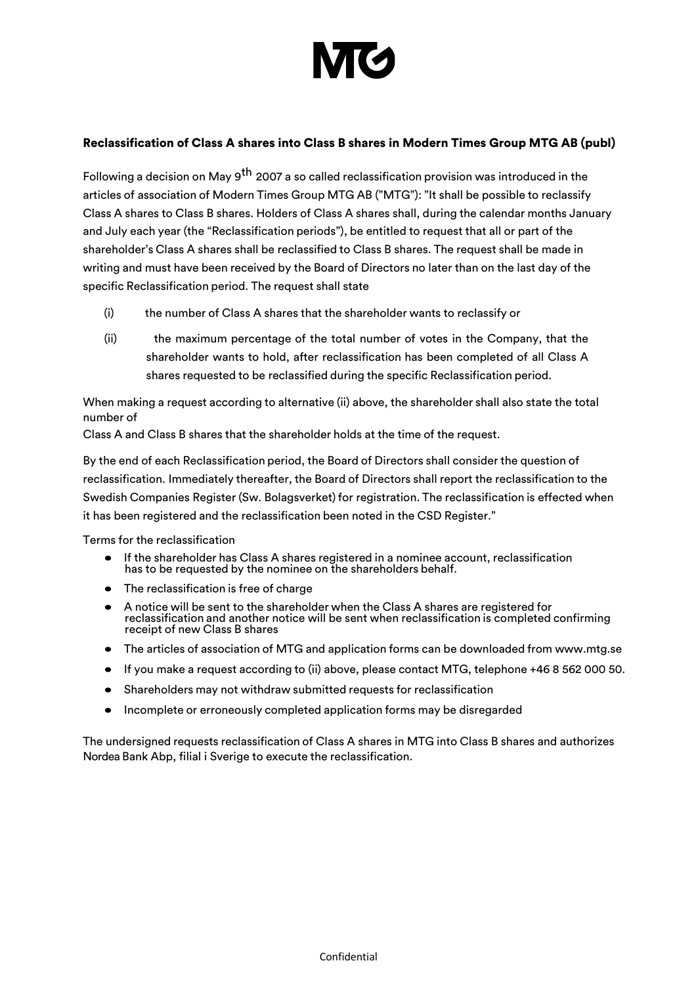

# Reclassification of Class A shares into Class B shares in Modern Times Group MTG AB (publ)

Following a decision on May 9<sup>th</sup> 2007 a so called reclassification provision was introduced in the articles of association of Modern Times Group MTG AB ("MTG"): "It shall be possible to reclassify Class A shares to Class B shares. Holders of Class A shares shall, during the calendar months January and July each year (the "Reclassification periods"), be entitled to request that all or part of the shareholder's Class A shares shall be reclassified to Class B shares. The request shall be made in writing and must have been received by the Board of Directors no later than on the last day of the specific Reclassification period. The request shall state

- (i) the number of Class A shares that the shareholder wants to reclassify or
- (ii) the maximum percentage of the total number of votes in the Company, that the shareholder wants to hold, after reclassification has been completed of all Class A shares requested to be reclassified during the specific Reclassification period.

When making a request according to alternative (ii) above, the shareholder shall also state the total number of

Class A and Class B shares that the shareholder holds at the time of the request.

By the end of each Reclassification period, the Board of Directors shall consider the question of reclassification. Immediately thereafter, the Board of Directors shall report the reclassification to the Swedish Companies Register (Sw. Bolagsverket) for registration. The reclassification is effected when it has been registered and the reclassification been noted in the CSD Register."

Terms for the reclassification

- If the shareholder has Class A shares registered in a nominee account, reclassification has to be requested by the nominee on the shareholders behalf.
- The reclassification is free of charge
- A notice will be sent to the shareholder when the Class A shares are registered for reclassification and another notice will be sent when reclassification is completed confirming receipt of new Class B shares
- The articles of association of MTG and application forms can be downloaded from www.mtg.se
- If you make a request according to (ii) above, please contact MTG, telephone +46 8 562 000 50.
- Shareholders may not withdraw submitted requests for reclassification
- Incomplete or erroneously completed application forms may be disregarded

The undersigned requests reclassification of Class A shares in MTG into Class B shares and authorizes Nordea Bank Abp, filial i Sverige to execute the reclassification.